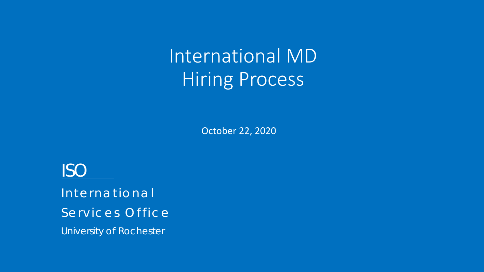International MD Hiring Process

October 22, 2020

ISO

International Services Office

University of Rochester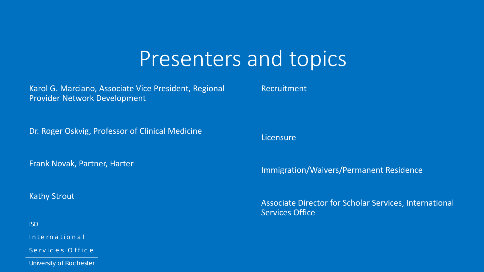### Presenters and topics

Karol G. Marciano, Associate Vice President, Regional Provider Network Development

Dr. Roger Oskvig, Professor of Clinical Medicine

**Licensure** 

Recruitment

Frank Novak, Partner, Harter

Kathy Strout

ISO

International

Services Office

University of Rochester

Immigration/Waivers/Permanent Residence

Associate Director for Scholar Services, International Services Office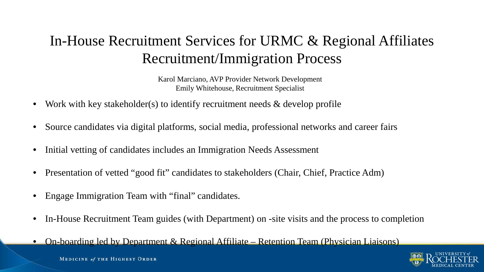#### In-House Recruitment Services for URMC & Regional Affiliates Recruitment/Immigration Process

Karol Marciano, AVP Provider Network Development Emily Whitehouse, Recruitment Specialist

- Work with key stakeholder(s) to identify recruitment needs & develop profile
- Source candidates via digital platforms, social media, professional networks and career fairs
- Initial vetting of candidates includes an Immigration Needs Assessment
- Presentation of vetted "good fit" candidates to stakeholders (Chair, Chief, Practice Adm)
- Engage Immigration Team with "final" candidates.
- In-House Recruitment Team guides (with Department) on -site visits and the process to completion
- On-boarding led by Department & Regional Affiliate Retention Team (Physician Liaisons)

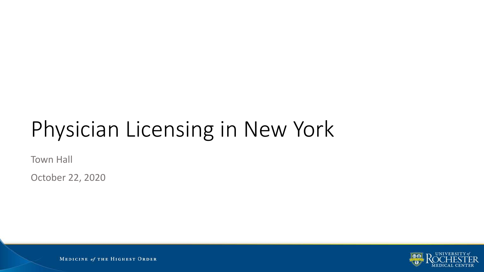### Physician Licensing in New York

Town Hall

October 22, 2020



**MEDICINE of THE HIGHEST ORDER**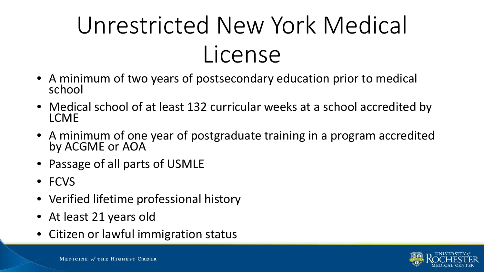### Unrestricted New York Medical License

- A minimum of two years of postsecondary education prior to medical school
- Medical school of at least 132 curricular weeks at a school accredited by LCME
- A minimum of one year of postgraduate training in a program accredited by ACGME or AOA
- Passage of all parts of USMLE
- FCVS
- Verified lifetime professional history
- At least 21 years old
- Citizen or lawful immigration status

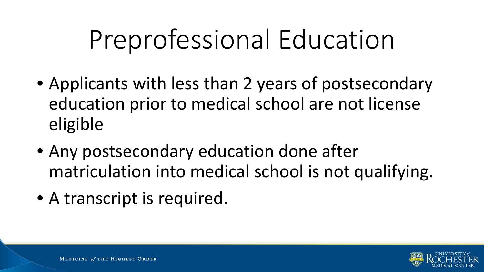## Preprofessional Education

- Applicants with less than 2 years of postsecondary education prior to medical school are not license eligible
- Any postsecondary education done after matriculation into medical school is not qualifying.
- A transcript is required.

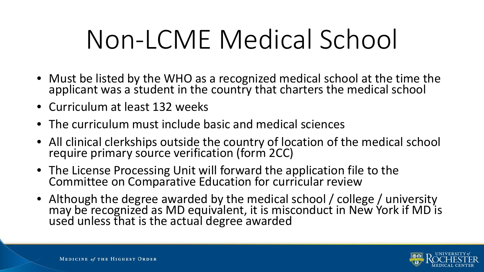# Non-LCME Medical School

- Must be listed by the WHO as a recognized medical school at the time the applicant was a student in the country that charters the medical school
- Curriculum at least 132 weeks
- The curriculum must include basic and medical sciences
- All clinical clerkships outside the country of location of the medical school require primary source verification (form 2CC)
- The License Processing Unit will forward the application file to the Committee on Comparative Education for curricular review
- Although the degree awarded by the medical school / college / university may be recognized as MD equivalent, it is misconduct in New York if MD is used unless that is the actual degree awarded

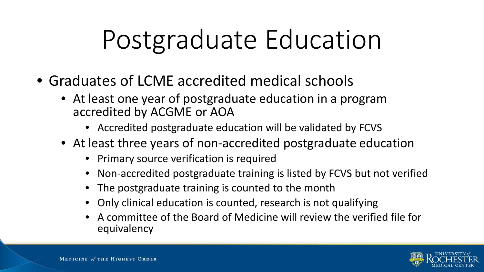## Postgraduate Education

- Graduates of LCME accredited medical schools
	- At least one year of postgraduate education in a program accredited by ACGME or AOA
		- Accredited postgraduate education will be validated by FCVS
	- At least three years of non-accredited postgraduate education
		- Primary source verification is required
		- Non-accredited postgraduate training is listed by FCVS but not verified
		- The postgraduate training is counted to the month
		- Only clinical education is counted, research is not qualifying
		- A committee of the Board of Medicine will review the verified file for equivalency

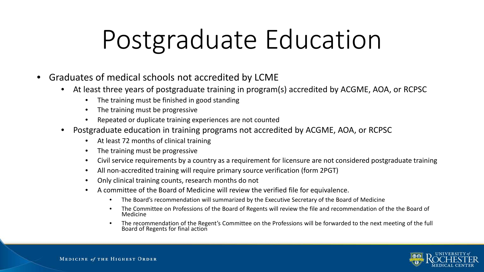## Postgraduate Education

- Graduates of medical schools not accredited by LCME
	- At least three years of postgraduate training in program(s) accredited by ACGME, AOA, or RCPSC
		- The training must be finished in good standing
		- The training must be progressive
		- Repeated or duplicate training experiences are not counted
	- Postgraduate education in training programs not accredited by ACGME, AOA, or RCPSC
		- At least 72 months of clinical training
		- The training must be progressive
		- Civil service requirements by a country as a requirement for licensure are not considered postgraduate training
		- All non-accredited training will require primary source verification (form 2PGT)
		- Only clinical training counts, research months do not
		- A committee of the Board of Medicine will review the verified file for equivalence.
			- The Board's recommendation will summarized by the Executive Secretary of the Board of Medicine
			- The Committee on Professions of the Board of Regents will review the file and recommendation of the the Board of Medicine
			- The recommendation of the Regent's Committee on the Professions will be forwarded to the next meeting of the full Board of Regents for final action

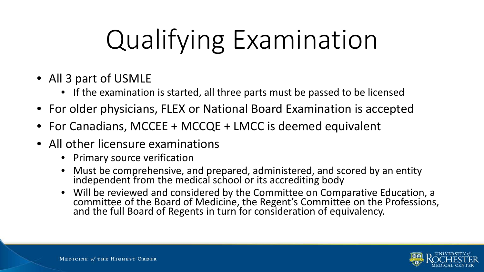# Qualifying Examination

- All 3 part of USMLE
	- If the examination is started, all three parts must be passed to be licensed
- For older physicians, FLEX or National Board Examination is accepted
- For Canadians, MCCEE + MCCQE + LMCC is deemed equivalent
- All other licensure examinations
	- Primary source verification
	- Must be comprehensive, and prepared, administered, and scored by an entity independent from the medical school or its accrediting body
	- Will be reviewed and considered by the Committee on Comparative Education, a committee of the Board of Medicine, the Regent's Committee on the Professions, and the full Board of Regents in turn for consideration of equivalency.

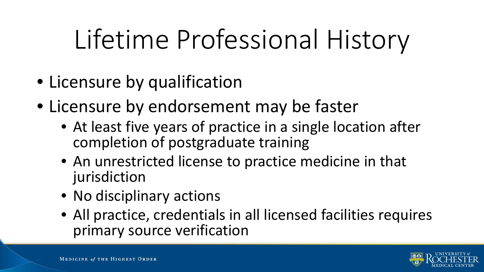# Lifetime Professional History

- Licensure by qualification
- Licensure by endorsement may be faster
	- At least five years of practice in a single location after completion of postgraduate training
	- An unrestricted license to practice medicine in that jurisdiction
	- No disciplinary actions
	- All practice, credentials in all licensed facilities requires primary source verification

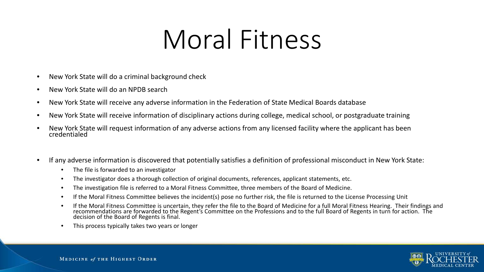### Moral Fitness

- New York State will do a criminal background check
- New York State will do an NPDB search
- New York State will receive any adverse information in the Federation of State Medical Boards database
- New York State will receive information of disciplinary actions during college, medical school, or postgraduate training
- New York State will request information of any adverse actions from any licensed facility where the applicant has been credentialed
- If any adverse information is discovered that potentially satisfies a definition of professional misconduct in New York State:
	- The file is forwarded to an investigator
	- The investigator does a thorough collection of original documents, references, applicant statements, etc.
	- The investigation file is referred to a Moral Fitness Committee, three members of the Board of Medicine.
	- If the Moral Fitness Committee believes the incident(s) pose no further risk, the file is returned to the License Processing Unit
	- If the Moral Fitness Committee is uncertain, they refer the file to the Board of Medicine for a full Moral Fitness Hearing. Their findings and recommendations are forwarded to the Regent's Committee on the Professions an decision of the Board of Regents is final.
	- This process typically takes two years or longer

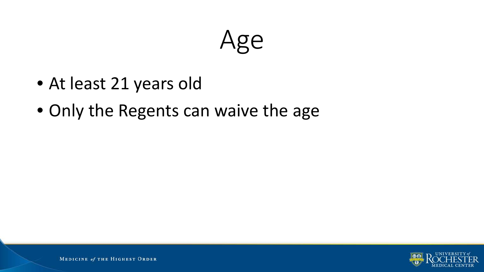

- At least 21 years old
- Only the Regents can waive the age



**MEDICINE of THE HIGHEST ORDER**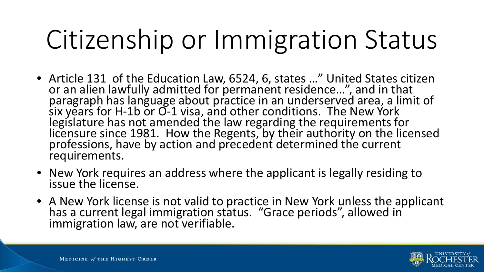# Citizenship or Immigration Status

- Article 131 of the Education Law, 6524, 6, states ..." United States citizen or an alien lawfully admitted for permanent residence…", and in that paragraph has language about practice in an underserved area, a limit of six years for H-1b or O-1 visa, and other conditions. The New York legislature has not amended the law regarding the requirements for licensure since 1981. How the Regents, by their authority on the licensed professions, have by action and precedent determined the current requirements.
- New York requires an address where the applicant is legally residing to issue the license.
- A New York license is not valid to practice in New York unless the applicant has a current legal immigration status. "Grace periods", allowed in immigration law, are not verifiable.

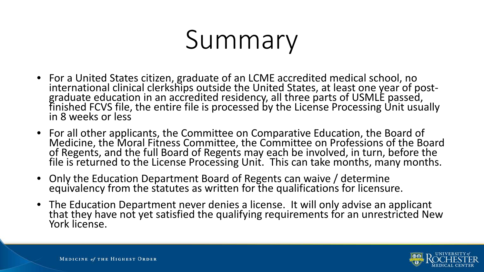### Summary

- For a United States citizen, graduate of an LCME accredited medical school, no international clinical clerkships outside the United States, at least one year of post-<br>graduate education in an accredited residency, all three parts of USMLE passed, finished FCVS file, the entire file is processed by the License Processing Unit usually in 8 weeks or less
- For all other applicants, the Committee on Comparative Education, the Board of Medicine, the Moral Fitness Committee, the Committee on Professions of the Board of Regents, and the full Board of Regents may each be involved, in turn, before the file is returned to the License Processing Unit. This can take months, many months.
- Only the Education Department Board of Regents can waive / determine equivalency from the statutes as written for the qualifications for licensure.
- The Education Department never denies a license. It will only advise an applicant that they have not yet satisfied the qualifying requirements for an unrestricted New York license.

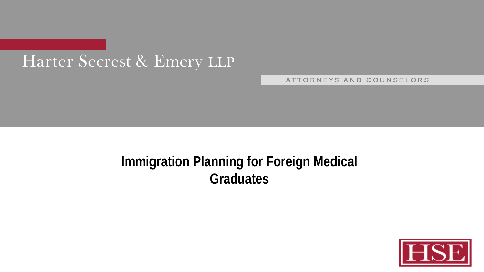#### Harter Secrest & Emery LLP

ATTORNEYS AND COUNSELORS

#### **Immigration Planning for Foreign Medical Graduates**

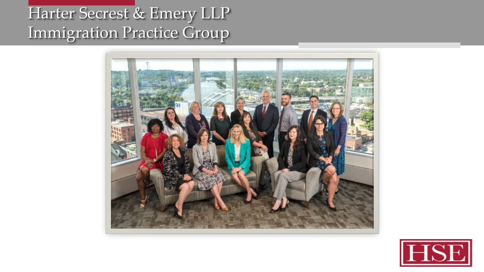Harter Secrest & Emery LLP Immigration Practice Group



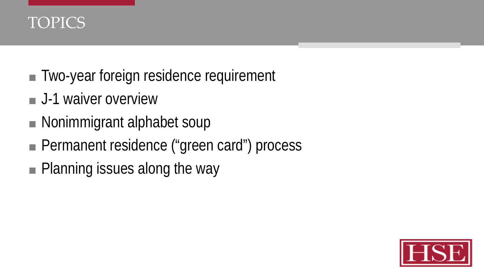

- <sup>∎</sup> Two-year foreign residence requirement
- J-1 waiver overview
- Nonimmigrant alphabet soup
- Permanent residence ("green card") process
- Planning issues along the way

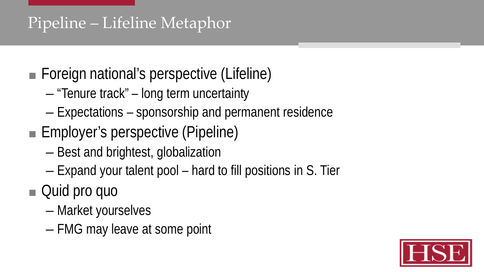#### Pipeline – Lifeline Metaphor

■ Foreign national's perspective (Lifeline)

- "Tenure track" long term uncertainty
- Expectations sponsorship and permanent residence
- Employer's perspective (Pipeline)
	- Best and brightest, globalization
	- Expand your talent pool hard to fill positions in S. Tier
- Quid pro quo
	- Market yourselves
	- FMG may leave at some point

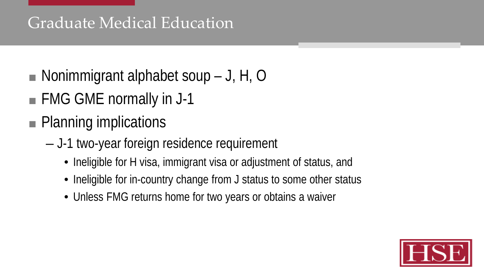#### Graduate Medical Education

- <sup>∎</sup> Nonimmigrant alphabet soup J, H, O
- FMG GME normally in J-1
- Planning implications
	- J-1 two-year foreign residence requirement
		- Ineligible for H visa, immigrant visa or adjustment of status, and
		- Ineligible for in-country change from J status to some other status
		- Unless FMG returns home for two years or obtains a waiver

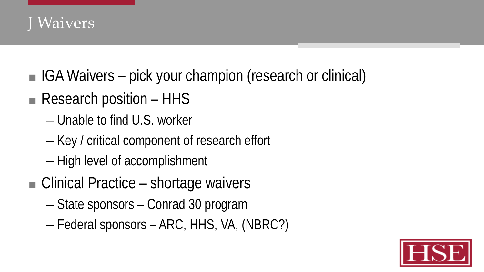

- IGA Waivers pick your champion (research or clinical)
- Research position HHS
	- Unable to find U.S. worker
	- Key / critical component of research effort
	- High level of accomplishment
- Clinical Practice shortage waivers
	- State sponsors Conrad 30 program
	- Federal sponsors ARC, HHS, VA, (NBRC?)

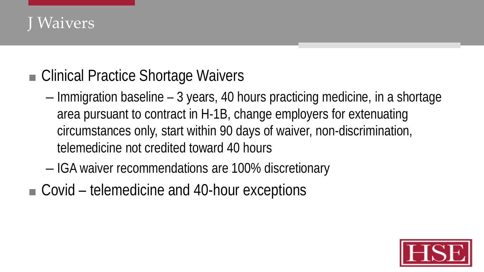#### Waivers

#### <sup>∎</sup> Clinical Practice Shortage Waivers

- Immigration baseline 3 years, 40 hours practicing medicine, in a shortage area pursuant to contract in H-1B, change employers for extenuating circumstances only, start within 90 days of waiver, non-discrimination, telemedicine not credited toward 40 hours
- IGA waiver recommendations are 100% discretionary
- Covid telemedicine and 40-hour exceptions

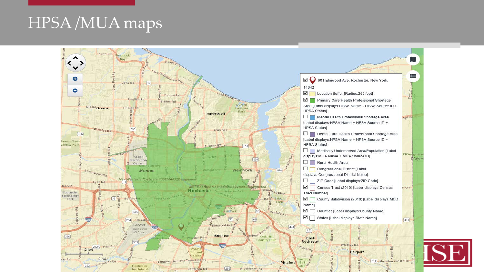#### HPSA /MUA maps

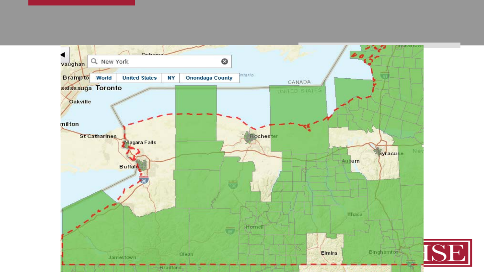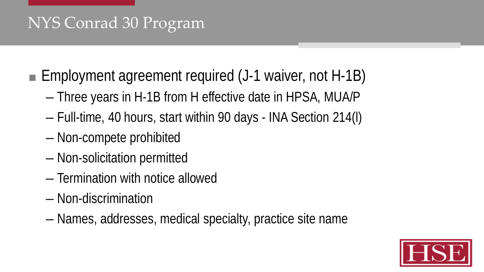#### NYS Conrad 30 Program

<sup>∎</sup> Employment agreement required (J-1 waiver, not H-1B)

- Three years in H-1B from H effective date in HPSA, MUA/P
- Full-time, 40 hours, start within 90 days INA Section 214(l)
- Non-compete prohibited
- Non-solicitation permitted
- Termination with notice allowed
- Non-discrimination
- Names, addresses, medical specialty, practice site name

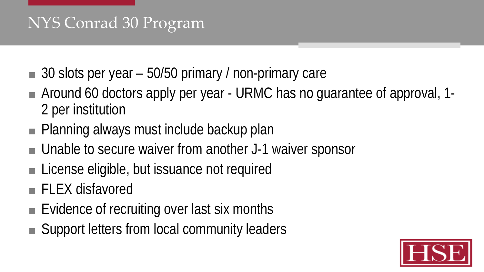#### NYS Conrad 30 Program

- 30 slots per year 50/50 primary / non-primary care
- Around 60 doctors apply per year URMC has no guarantee of approval, 1-2 per institution
- Planning always must include backup plan
- Unable to secure waiver from another J-1 waiver sponsor
- License eligible, but issuance not required
- <sup>∎</sup> FLEX disfavored
- Evidence of recruiting over last six months
- Support letters from local community leaders

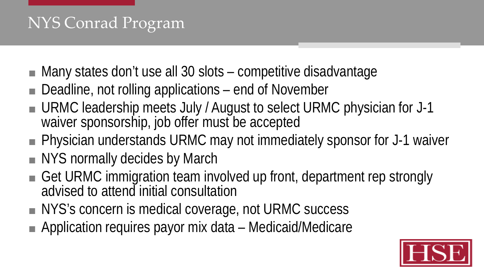#### NYS Conrad Program

- Many states don't use all 30 slots competitive disadvantage
- Deadline, not rolling applications end of November
- URMC leadership meets July / August to select URMC physician for J-1 waiver sponsorship, job offer must be accepted
- Physician understands URMC may not immediately sponsor for J-1 waiver
- NYS normally decides by March
- Get URMC immigration team involved up front, department rep strongly advised to attend initial consultation
- NYS's concern is medical coverage, not URMC success
- Application requires payor mix data Medicaid/Medicare

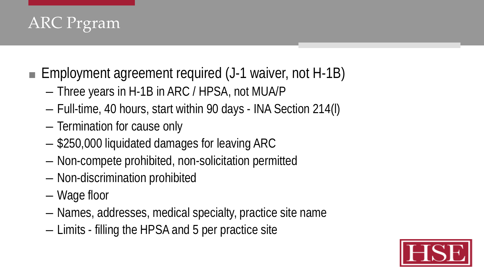#### ARC Prgram

- Employment agreement required (J-1 waiver, not H-1B)
	- Three years in H-1B in ARC / HPSA, not MUA/P
	- Full-time, 40 hours, start within 90 days INA Section 214(l)
	- Termination for cause only
	- \$250,000 liquidated damages for leaving ARC
	- Non-compete prohibited, non-solicitation permitted
	- Non-discrimination prohibited
	- Wage floor
	- Names, addresses, medical specialty, practice site name
	- Limits filling the HPSA and 5 per practice site

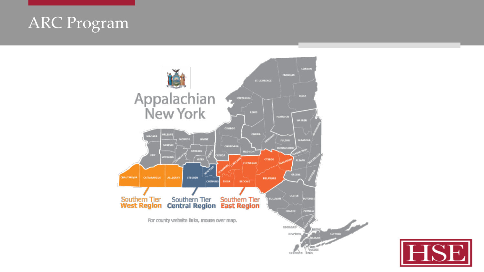#### ARC Program



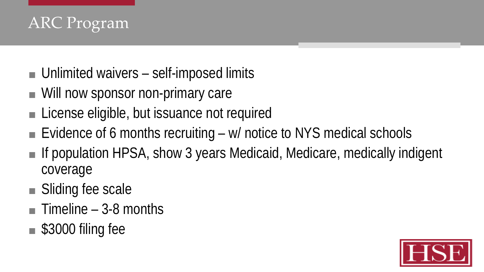

- Unlimited waivers self-imposed limits
- Will now sponsor non-primary care
- License eligible, but issuance not required
- Evidence of 6 months recruiting w/ notice to NYS medical schools
- <sup>∎</sup> If population HPSA, show 3 years Medicaid, Medicare, medically indigent coverage
- Sliding fee scale
- Timeline 3-8 months
- \$3000 filing fee

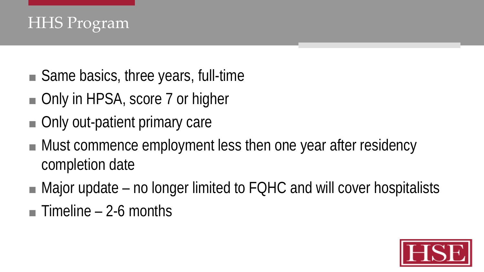

- Same basics, three years, full-time
- Only in HPSA, score 7 or higher
- Only out-patient primary care
- Must commence employment less then one year after residency completion date
- Major update no longer limited to FQHC and will cover hospitalists
- $\blacksquare$  Timeline 2-6 months

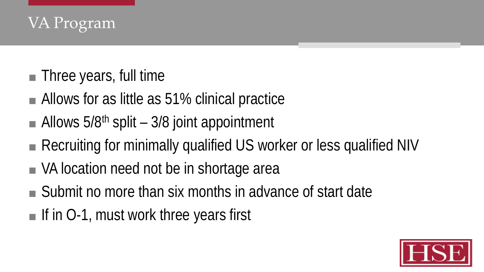#### VA Program

#### ■ Three years, full time

- Allows for as little as 51% clinical practice
- $\blacksquare$  Allows 5/8<sup>th</sup> split 3/8 joint appointment
- Recruiting for minimally qualified US worker or less qualified NIV
- VA location need not be in shortage area
- Submit no more than six months in advance of start date
- If in O-1, must work three years first

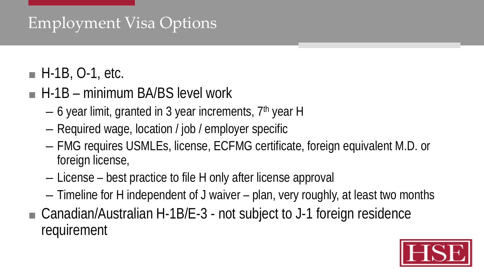#### Employment Visa Options

#### <sup>∎</sup> H-1B, O-1, etc.

- H-1B minimum BA/BS level work
	- 6 year limit, granted in 3 year increments, 7th year H
	- Required wage, location / job / employer specific
	- FMG requires USMLEs, license, ECFMG certificate, foreign equivalent M.D. or foreign license,
	- License best practice to file H only after license approval
	- Timeline for H independent of J waiver plan, very roughly, at least two months
- Canadian/Australian H-1B/E-3 not subject to J-1 foreign residence requirement

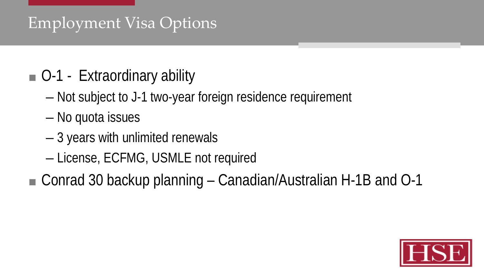#### Employment Visa Options

#### <sup>∎</sup> O-1 - Extraordinary ability

- Not subject to J-1 two-year foreign residence requirement
- No quota issues
- 3 years with unlimited renewals
- License, ECFMG, USMLE not required
- Conrad 30 backup planning Canadian/Australian H-1B and O-1

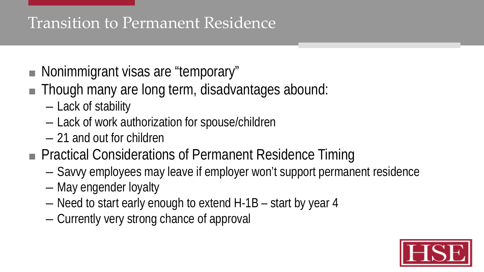#### Transition to Permanent Residence

- Nonimmigrant visas are "temporary"
- Though many are long term, disadvantages abound:
	- Lack of stability
	- Lack of work authorization for spouse/children
	- 21 and out for children
- Practical Considerations of Permanent Residence Timing
	- Savvy employees may leave if employer won't support permanent residence
	- May engender loyalty
	- Need to start early enough to extend H-1B start by year 4
	- Currently very strong chance of approval

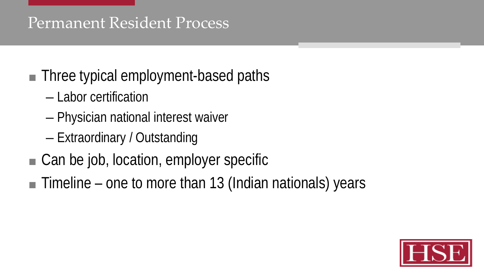#### Permanent Resident Process

### <sup>∎</sup> Three typical employment-based paths

- Labor certification
- Physician national interest waiver
- Extraordinary / Outstanding
- Can be job, location, employer specific
- Timeline one to more than 13 (Indian nationals) years

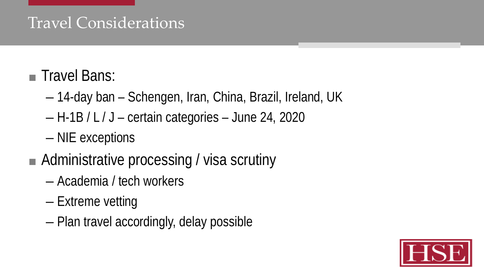#### Travel Considerations

- <sup>∎</sup> Travel Bans:
	- 14-day ban Schengen, Iran, China, Brazil, Ireland, UK
	- H-1B / L / J certain categories June 24, 2020
	- NIE exceptions
- Administrative processing / visa scrutiny
	- Academia / tech workers
	- Extreme vetting
	- Plan travel accordingly, delay possible

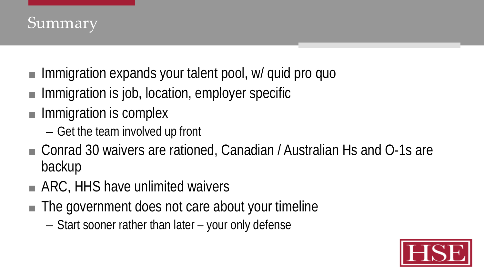

- Immigration expands your talent pool, w/ quid pro quo
- Immigration is job, location, employer specific
- Immigration is complex
	- Get the team involved up front
- Conrad 30 waivers are rationed, Canadian / Australian Hs and O-1s are backup
- ARC, HHS have unlimited waivers
- The government does not care about your timeline
	- Start sooner rather than later your only defense

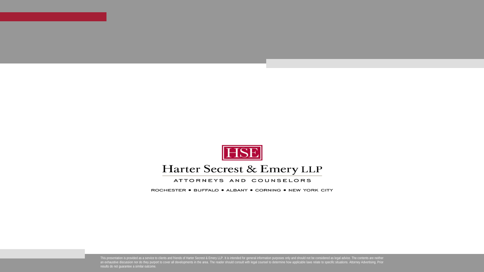

#### Harter Secrest & Emery LLP

#### ATTORNEYS AND COUNSELORS

ROCHESTER . BUFFALO . ALBANY . CORNING . NEW YORK CITY

This presentation is provided as a service to clients and friends of Harter Secrest & Emery LLP. It is intended for general information purposes only and should not be considered as legal advice. The contents are neither an exhaustive discussion nor do they purport to cover all developments in the area. The reader should consult with legal counsel to determine how applicable laws relate to specific situations. Attorney Advertising. Prior